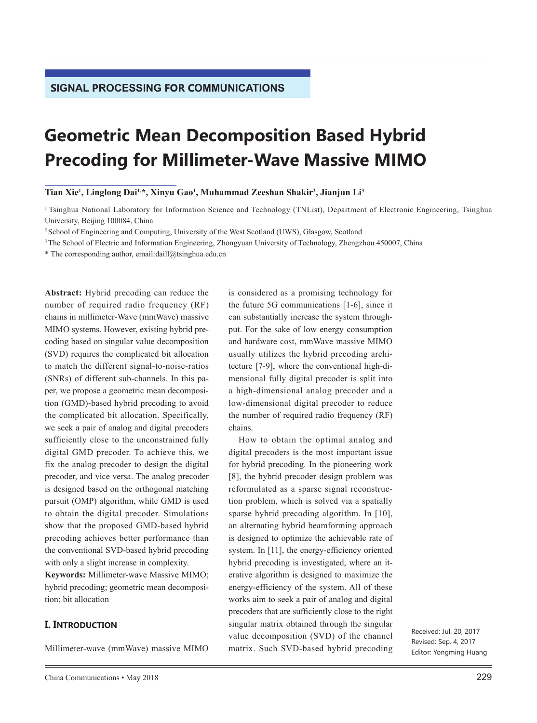# **Geometric Mean Decomposition Based Hybrid Precoding for Millimeter-Wave Massive MIMO**

**Tian Xie1 , Linglong Dai1,\*, Xinyu Gao1 , Muhammad Zeeshan Shakir2 , Jianjun Li3**

<sup>1</sup>Tsinghua National Laboratory for Information Science and Technology (TNList), Department of Electronic Engineering, Tsinghua University, Beijing 100084, China

<sup>2</sup>School of Engineering and Computing, University of the West Scotland (UWS), Glasgow, Scotland

<sup>3</sup>The School of Electric and Information Engineering, Zhongyuan University of Technology, Zhengzhou 450007, China

\* The corresponding author, email:daill@tsinghua.edu.cn

**Abstract:** Hybrid precoding can reduce the number of required radio frequency (RF) chains in millimeter-Wave (mmWave) massive MIMO systems. However, existing hybrid precoding based on singular value decomposition (SVD) requires the complicated bit allocation to match the different signal-to-noise-ratios (SNRs) of different sub-channels. In this paper, we propose a geometric mean decomposition (GMD)-based hybrid precoding to avoid the complicated bit allocation. Specifically, we seek a pair of analog and digital precoders sufficiently close to the unconstrained fully digital GMD precoder. To achieve this, we fix the analog precoder to design the digital precoder, and vice versa. The analog precoder is designed based on the orthogonal matching pursuit (OMP) algorithm, while GMD is used to obtain the digital precoder. Simulations show that the proposed GMD-based hybrid precoding achieves better performance than the conventional SVD-based hybrid precoding with only a slight increase in complexity. **Keywords:** Millimeter-wave Massive MIMO; hybrid precoding; geometric mean decomposi-

## **I. INTRODUCTION**

tion; bit allocation

Millimeter-wave (mmWave) massive MIMO

is considered as a promising technology for the future 5G communications [1-6], since it can substantially increase the system throughput. For the sake of low energy consumption and hardware cost, mmWave massive MIMO usually utilizes the hybrid precoding architecture [7-9], where the conventional high-dimensional fully digital precoder is split into a high-dimensional analog precoder and a low-dimensional digital precoder to reduce the number of required radio frequency (RF) chains.

How to obtain the optimal analog and digital precoders is the most important issue for hybrid precoding. In the pioneering work [8], the hybrid precoder design problem was reformulated as a sparse signal reconstruction problem, which is solved via a spatially sparse hybrid precoding algorithm. In [10], an alternating hybrid beamforming approach is designed to optimize the achievable rate of system. In [11], the energy-efficiency oriented hybrid precoding is investigated, where an iterative algorithm is designed to maximize the energy-efficiency of the system. All of these works aim to seek a pair of analog and digital precoders that are sufficiently close to the right singular matrix obtained through the singular value decomposition (SVD) of the channel matrix. Such SVD-based hybrid precoding

Received: Jul. 20, 2017 Revised: Sep. 4, 2017 Editor: Yongming Huang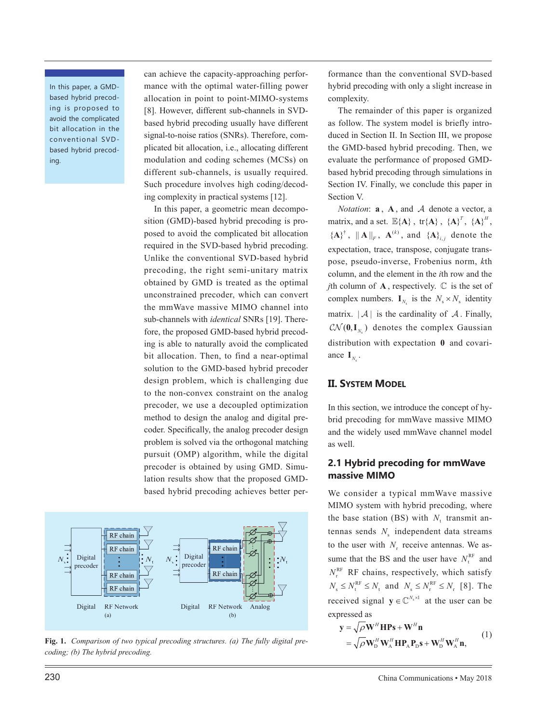In this paper, a GMDbased hybrid precoding is proposed to avoid the complicated bit allocation in the conventional SVDbased hybrid precoding.

can achieve the capacity-approaching performance with the optimal water-filling power allocation in point to point-MIMO-systems [8]. However, different sub-channels in SVDbased hybrid precoding usually have different signal-to-noise ratios (SNRs). Therefore, complicated bit allocation, i.e., allocating different modulation and coding schemes (MCSs) on different sub-channels, is usually required. Such procedure involves high coding/decoding complexity in practical systems [12].

In this paper, a geometric mean decomposition (GMD)-based hybrid precoding is proposed to avoid the complicated bit allocation required in the SVD-based hybrid precoding. Unlike the conventional SVD-based hybrid precoding, the right semi-unitary matrix obtained by GMD is treated as the optimal unconstrained precoder, which can convert the mmWave massive MIMO channel into sub-channels with *identical* SNRs [19]. Therefore, the proposed GMD-based hybrid precoding is able to naturally avoid the complicated bit allocation. Then, to find a near-optimal solution to the GMD-based hybrid precoder design problem, which is challenging due to the non-convex constraint on the analog precoder, we use a decoupled optimization method to design the analog and digital precoder. Specifically, the analog precoder design problem is solved via the orthogonal matching pursuit (OMP) algorithm, while the digital precoder is obtained by using GMD. Simulation results show that the proposed GMDbased hybrid precoding achieves better per-



**Fig. 1.** *Comparison of two typical precoding structures. (a) The fully digital precoding; (b) The hybrid precoding.*

formance than the conventional SVD-based hybrid precoding with only a slight increase in complexity.

The remainder of this paper is organized as follow. The system model is briefly introduced in Section II. In Section III, we propose the GMD-based hybrid precoding. Then, we evaluate the performance of proposed GMDbased hybrid precoding through simulations in Section IV. Finally, we conclude this paper in Section V.

*Notation*:  $\mathbf{a}$ ,  $\mathbf{A}$ , and  $\mathcal{A}$  denote a vector, a matrix, and a set.  $\mathbb{E}\{\mathbf{A}\}\,$ ,  $\{\mathbf{A}\}\mathbf{A}\}$ ,  $\{\mathbf{A}\}\mathbf{A}\}^T$ ,  $\{\mathbf{A}\}\mathbf{A}\}^H$ ,  ${ {\bf \left\{ A \right\}}^{\dagger}$ ,  $\| {\bf A} \|_F$ ,  ${\bf A}^{(k)}$ , and  ${ {\bf \left\{ A \right\}}_{i,j}}$  denote the expectation, trace, transpose, conjugate transpose, pseudo-inverse, Frobenius norm, *k*th column, and the element in the *i*th row and the *j*th column of  $\bf{A}$ , respectively.  $\mathbb C$  is the set of complex numbers.  $\mathbf{I}_{N_s}$  is the  $N_s \times N_s$  identity matrix.  $|\mathcal{A}|$  is the cardinality of  $\mathcal{A}$ . Finally,  $\mathcal{CN}(\mathbf{0}, \mathbf{I}_N)$  denotes the complex Gaussian distribution with expectation **0** and covariance  $\mathbf{I}_{N_s}$ .

## **II. SYSTEM MODEL**

In this section, we introduce the concept of hybrid precoding for mmWave massive MIMO and the widely used mmWave channel model as well.

## **2.1 Hybrid precoding for mmWave massive MIMO**

We consider a typical mmWave massive MIMO system with hybrid precoding, where the base station (BS) with  $N_t$  transmit antennas sends  $N<sub>s</sub>$  independent data streams to the user with  $N_r$  receive antennas. We assume that the BS and the user have  $N_t^{RF}$  and  $N_r^{\text{RF}}$  RF chains, respectively, which satisfy  $N_{\rm s} \leq N_{\rm t}^{\rm RF} \leq N_{\rm t}$  and  $N_{\rm s} \leq N_{\rm r}^{\rm RF} \leq N_{\rm r}$  [8]. The received signal  $y \in \mathbb{C}^{N_s \times 1}$  at the user can be expressed as

$$
\mathbf{y} = \sqrt{\rho} \mathbf{W}^H \mathbf{H} \mathbf{P} \mathbf{s} + \mathbf{W}^H \mathbf{n}
$$
  
=  $\sqrt{\rho} \mathbf{W}_D^H \mathbf{W}_A^H \mathbf{H} \mathbf{P}_A \mathbf{P}_D \mathbf{s} + \mathbf{W}_D^H \mathbf{W}_A^H \mathbf{n}$ , (1)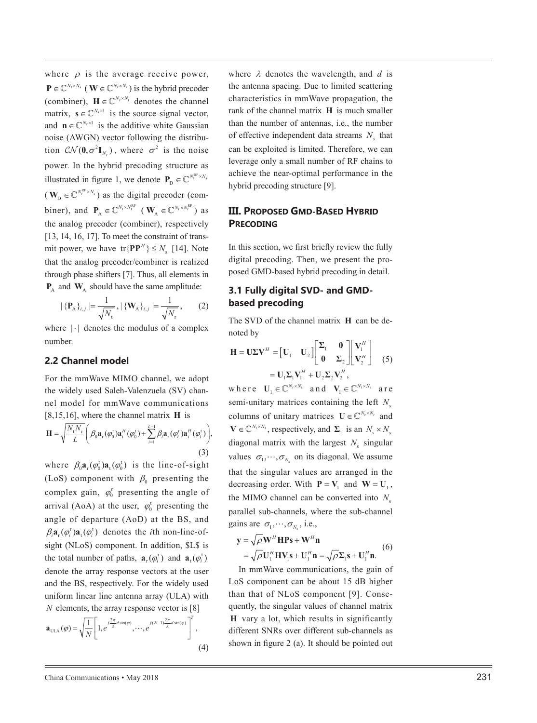where  $\rho$  is the average receive power,  $\mathbf{P} \in \mathbb{C}^{N_t \times N_s}$  (  $\mathbf{W} \in \mathbb{C}^{N_t \times N_s}$  ) is the hybrid precoder (combiner),  $\mathbf{H} \in \mathbb{C}^{N_r \times N_t}$  denotes the channel matrix,  $\mathbf{s} \in \mathbb{C}^{N_s \times 1}$  is the source signal vector, and  $\mathbf{n} \in \mathbb{C}^{N_r \times 1}$  is the additive white Gaussian noise (AWGN) vector following the distribu tion  $C\mathcal{N}(\mathbf{0}, \sigma^2 \mathbf{I}_{N_r})$ , where  $\sigma^2$  is the noise power. In the hybrid precoding structure as illustrated in figure 1, we denote  $P_D \in \mathbb{C}^{N_t^{RF} \times N_s}$  $(\mathbf{W}_{\text{D}} \in \mathbb{C}^{N_{\text{r}}^{\text{RF}} \times N_{\text{s}}} )$  as the digital precoder (combiner), and  $P_A \in \mathbb{C}^{N_t \times N_t^{RF}}$  ( $W_A \in \mathbb{C}^{N_r \times N_t^{RF}}$ ) as the analog precoder (combiner), respectively [13, 14, 16, 17]. To meet the constraint of transmit power, we have  $tr{P}{P^H} \le N_s$  [14]. Note that the analog precoder/combiner is realized through phase shifters [7]. Thus, all elements in  $P_A$  and  $W_A$  should have the same amplitude:

$$
|\{\mathbf{P}_{A}\}_{i,j}| = \frac{1}{\sqrt{N_{\mathrm{t}}}}, |\{\mathbf{W}_{A}\}_{i,j}| = \frac{1}{\sqrt{N_{\mathrm{r}}}},\qquad(2)
$$

where  $|\cdot|$  denotes the modulus of a complex number.

# **2.2 Channel model**

For the mmWave MIMO channel, we adopt the widely used Saleh-Valenzuela (SV) chan nel model for mmWave communications [8,15,16], where the channel matrix **H** is

$$
\mathbf{H} = \sqrt{\frac{N_{\mathrm{t}}N_{\mathrm{r}}}{L}} \left( \beta_0 \mathbf{a}_{\mathrm{r}}(\varphi_0^{\mathrm{t}}) \mathbf{a}_{\mathrm{t}}^H(\varphi_0^{\mathrm{t}}) + \sum_{i=1}^{L-1} \beta_i \mathbf{a}_{\mathrm{r}}(\varphi_i^{\mathrm{r}}) \mathbf{a}_{\mathrm{t}}^H(\varphi_i^{\mathrm{t}}) \right),
$$
\n(3)

where  $\beta_0 \mathbf{a}_{r}(\varphi_0^{\mathsf{r}}) \mathbf{a}_{t}(\varphi_0^{\mathsf{t}})$  is the line-of-sight (LoS) component with  $\beta_0$  presenting the complex gain,  $\varphi_0^r$  presenting the angle of arrival (AoA) at the user,  $\varphi_0^t$  presenting the angle of departure (AoD) at the BS, and  $\beta_i \mathbf{a}_{\text{r}}(\varphi_i^{\text{r}}) \mathbf{a}_{\text{t}}(\varphi_i^{\text{t}})$  denotes the *i*th non-line-ofsight (NLoS) component. In addition, \$L\$ is the total number of paths,  $\mathbf{a}_{r}(\varphi_{i}^{r})$  and  $\mathbf{a}_{t}(\varphi_{i}^{t})$ denote the array response vectors at the user and the BS, respectively. For the widely used uniform linear line antenna array (ULA) with *N* elements, the array response vector is [8]

$$
\mathbf{a}_{\text{ULA}}(\varphi) = \sqrt{\frac{1}{N} \left[ 1, e^{j\frac{2\pi}{\lambda}d\sin(\varphi)}, \cdots, e^{j(N-1)\frac{2\pi}{\lambda}d\sin(\varphi)} \right]^T, \tag{4}
$$

where  $\lambda$  denotes the wavelength, and  $d$  is the antenna spacing. Due to limited scattering characteristics in mmWave propagation, the rank of the channel matrix **H** is much smaller than the number of antennas, i.e., the number of effective independent data streams  $N<sub>s</sub>$  that can be exploited is limited. Therefore, we can leverage only a small number of RF chains to achieve the near-optimal performance in the hybrid precoding structure [9].

# **III. PROPOSED GMD-BASED HYBRID PRECODING**

In this section, we first briefly review the fully digital precoding. Then, we present the pro posed GMD-based hybrid precoding in detail.

# **3.1 Fully digital SVD- and GMDbased precoding**

The SVD of the channel matrix **H** can be de noted by

$$
\mathbf{H} = \mathbf{U}\mathbf{\Sigma}\mathbf{V}^H = \begin{bmatrix} \mathbf{U}_1 & \mathbf{U}_2 \end{bmatrix} \begin{bmatrix} \boldsymbol{\Sigma}_1 & \mathbf{0} \\ \mathbf{0} & \boldsymbol{\Sigma}_2 \end{bmatrix} \begin{bmatrix} \mathbf{V}_1^H \\ \mathbf{V}_2^H \end{bmatrix} \quad (5)
$$
\n
$$
= \mathbf{U}_1 \boldsymbol{\Sigma}_1 \mathbf{V}_1^H + \mathbf{U}_2 \boldsymbol{\Sigma}_2 \mathbf{V}_2^H,
$$

where  $\mathbf{U}_1 \in \mathbb{C}^{N_r \times N_s}$  and  $\mathbf{V}_1 \in \mathbb{C}^{N_t \times N_s}$  are semi-unitary matrices containing the left  $N<sub>s</sub>$ columns of unitary matrices  $\mathbf{U} \in \mathbb{C}^{N_r \times N_r}$  and  $V \in \mathbb{C}^{N_t \times N_t}$ , respectively, and  $\Sigma_1$  is an  $N_s \times N_s$ diagonal matrix with the largest  $N_s$  singular values  $\sigma_1, \dots, \sigma_{N_s}$  on its diagonal. We assume that the singular values are arranged in the decreasing order. With  $P = V_1$  and  $W = U_1$ , the MIMO channel can be converted into  $N_s$ parallel sub-channels, where the sub-channel gains are  $\sigma_1, \cdots, \sigma_{N_s}$ , i.e.,

$$
\mathbf{y} = \sqrt{\rho} \mathbf{W}^H \mathbf{H} \mathbf{P} \mathbf{s} + \mathbf{W}^H \mathbf{n}
$$
  
=  $\sqrt{\rho} \mathbf{U}_1^H \mathbf{H} \mathbf{V}_1 \mathbf{s} + \mathbf{U}_1^H \mathbf{n} = \sqrt{\rho} \mathbf{\Sigma}_1 \mathbf{s} + \mathbf{U}_1^H \mathbf{n}.$  (6)

In mmWave communications, the gain of LoS component can be about 15 dB higher than that of NLoS component [9]. Conse quently, the singular values of channel matrix **H** vary a lot, which results in significantly different SNRs over different sub-channels as shown in figure 2 (a). It should be pointed out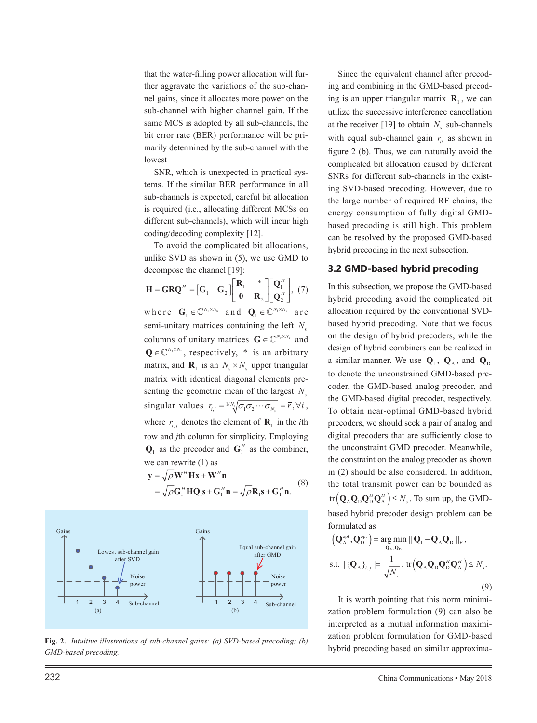that the water-filling power allocation will further aggravate the variations of the sub-channel gains, since it allocates more power on the sub-channel with higher channel gain. If the same MCS is adopted by all sub-channels, the bit error rate (BER) performance will be primarily determined by the sub-channel with the lowest

SNR, which is unexpected in practical systems. If the similar BER performance in all sub-channels is expected, careful bit allocation is required (i.e., allocating different MCSs on different sub-channels), which will incur high coding/decoding complexity [12].

To avoid the complicated bit allocations, unlike SVD as shown in (5), we use GMD to decompose the channel [19]:

 $H = \mathbf{GRQ}^H = \begin{bmatrix} \mathbf{G}_1 & \mathbf{G}_2 \end{bmatrix} \begin{bmatrix} \mathbf{R}_1 & * \\ \mathbf{0} & \mathbf{R}_2 \end{bmatrix}$  $\begin{bmatrix} 0 & R_2 \end{bmatrix}$ **R 0 R** <sup>1</sup> \* 2  $\mid \mathbf{Q}_1^H \mid$  $\begin{bmatrix} \mathbf{Q}_1^H \ \mathbf{Q}_2^H \end{bmatrix}$ **Q Q** 1 2 *H*  $\frac{1}{H}$ , (7) where  $\mathbf{G}_1 \in \mathbb{C}^{N_r \times N_s}$  and  $\mathbf{Q}_1 \in \mathbb{C}^{N_t \times N_s}$  are semi-unitary matrices containing the left  $N_s$ columns of unitary matrices  $\mathbf{G} \in \mathbb{C}^{N_r \times N_r}$  and  $\mathbf{Q} \in \mathbb{C}^{N_t \times N_t}$ , respectively, \* is an arbitrary matrix, and  $\mathbf{R}_1$  is an  $N_s \times N_s$  upper triangular matrix with identical diagonal elements presenting the geometric mean of the largest  $N_s$ singular values  $r_{i,i} = \frac{1}{N} \sqrt{\sigma_1 \sigma_2 \cdots \sigma_{N_s}} = \overline{r}, \forall i$ , where  $r_{i,j}$  denotes the element of  $\mathbf{R}_1$  in the *i*th row and *j*th column for simplicity. Employing  $\mathbf{Q}_1$  as the precoder and  $\mathbf{G}_1^H$  as the combiner, we can rewrite (1) as

$$
\mathbf{y} = \sqrt{\rho} \mathbf{W}^H \mathbf{H} \mathbf{x} + \mathbf{W}^H \mathbf{n}
$$
  
=  $\sqrt{\rho} \mathbf{G}_1^H \mathbf{H} \mathbf{Q}_1 \mathbf{s} + \mathbf{G}_1^H \mathbf{n} = \sqrt{\rho} \mathbf{R}_1 \mathbf{s} + \mathbf{G}_1^H \mathbf{n}.$  (8)



**Fig. 2.** *Intuitive illustrations of sub-channel gains: (a) SVD-based precoding; (b) GMD-based precoding.*

Since the equivalent channel after precoding and combining in the GMD-based precoding is an upper triangular matrix  $\mathbf{R}_1$ , we can utilize the successive interference cancellation at the receiver [19] to obtain  $N_s$  sub-channels with equal sub-channel gain  $r_i$  as shown in figure 2 (b). Thus, we can naturally avoid the complicated bit allocation caused by different SNRs for different sub-channels in the existing SVD-based precoding. However, due to the large number of required RF chains, the energy consumption of fully digital GMDbased precoding is still high. This problem can be resolved by the proposed GMD-based hybrid precoding in the next subsection.

## **3.2 GMD-based hybrid precoding**

In this subsection, we propose the GMD-based hybrid precoding avoid the complicated bit allocation required by the conventional SVDbased hybrid precoding. Note that we focus on the design of hybrid precoders, while the design of hybrid combiners can be realized in a similar manner. We use  $Q_1$ ,  $Q_A$ , and  $Q_D$ to denote the unconstrained GMD-based precoder, the GMD-based analog precoder, and the GMD-based digital precoder, respectively. To obtain near-optimal GMD-based hybrid precoders, we should seek a pair of analog and digital precoders that are sufficiently close to the unconstraint GMD precoder. Meanwhile, the constraint on the analog precoder as shown in (2) should be also considered. In addition, the total transmit power can be bounded as  $tr(Q_A Q_D Q_D^H Q_A^H) \le N_s$ . To sum up, the GMDbased hybrid precoder design problem can be formulated as

$$
\left(\mathbf{Q}_{\mathbf{A}}^{\text{opt}}, \mathbf{Q}_{\mathbf{D}}^{\text{opt}}\right) = \underset{\mathbf{Q}_{\mathbf{A}}, \mathbf{Q}_{\mathbf{D}}}{\arg\min} ||\mathbf{Q}_{1} - \mathbf{Q}_{\mathbf{A}}\mathbf{Q}_{\mathbf{D}}||_{F},
$$
\ns.t.  $|\{\mathbf{Q}_{\mathbf{A}}\}_{i,j} = \frac{1}{\sqrt{N_{\text{t}}}}, \text{tr}\left(\mathbf{Q}_{\mathbf{A}}\mathbf{Q}_{\mathbf{D}}\mathbf{Q}_{\mathbf{D}}^H\mathbf{Q}_{\mathbf{A}}^H\right) \le N_{\text{s}}.$ \n(9)

It is worth pointing that this norm minimization problem formulation (9) can also be interpreted as a mutual information maximization problem formulation for GMD-based hybrid precoding based on similar approxima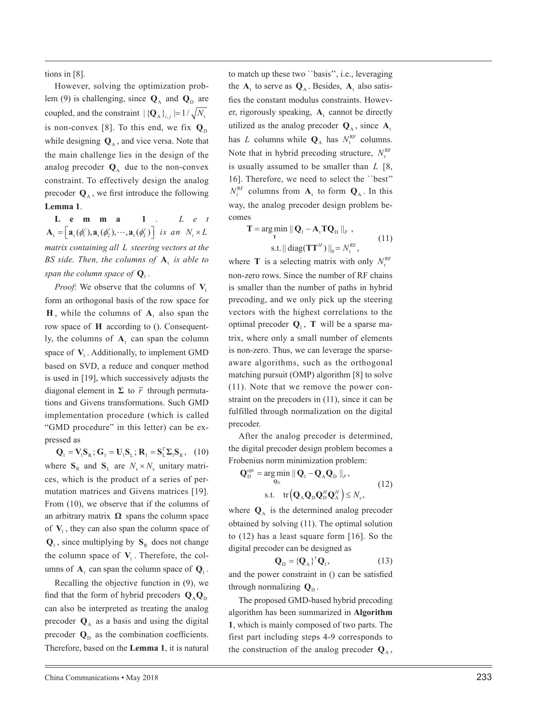tions in [8].

However, solving the optimization prob lem (9) is challenging, since  $Q_A$  and  $Q_D$  are coupled, and the constraint  $|{ { {Q}}_A \} _{i,j} | = 1/\sqrt{N_a}$ is non-convex [8]. To this end, we fix  $\mathbf{Q}_{\text{D}}$ while designing  $\mathbf{Q}_A$ , and vice versa. Note that the main challenge lies in the design of the analog precoder  $\mathbf{Q}_A$  due to the non-convex constraint. To effectively design the analog precoder  $\mathbf{Q}_{A}$ , we first introduce the following **Lemma 1** .

**Lemma 1** . *L e t*   $\mathbf{A}_t = \begin{bmatrix} \mathbf{a}_t (\phi_1^t), \mathbf{a}_t (\phi_2^t), \cdots, \mathbf{a}_t (\phi_L^t) \end{bmatrix}$  is an  $N_t \times L$ *matrix containing all L steering vectors at the*  BS side. Then, the columns of  $A_t$  is able to span the column space of  $\mathbf{Q}_\text{l}$  .

*Proof*: We observe that the columns of  $V_1$ form an orthogonal basis of the row space for **H**, while the columns of  $A_t$  also span the row space of **H** according to (). Consequent ly, the columns of  $A_t$  can span the column space of  $V_1$ . Additionally, to implement GMD based on SVD, a reduce and conquer method is used in [19], which successively adjusts the diagonal element in  $\Sigma$  to  $\overline{r}$  through permutations and Givens transformations. Such GMD implementation procedure (which is called "GMD procedure" in this letter) can be ex pressed as

 ${\bf Q}_1 = {\bf V}_1{\bf S}_R$ ;  ${\bf G}_1 = {\bf U}_1{\bf S}_L$ ;  ${\bf R}_1 = {\bf S}_L^T{\bf \Sigma}_1{\bf S}_R$ , (10) where  $S_R$  and  $S_L$  are  $N_s \times N_s$  unitary matrices, which is the product of a series of per mutation matrices and Givens matrices [19]. From (10), we observe that if the columns of an arbitrary matrix  $\Omega$  spans the column space of  $V_1$ , they can also span the column space of  $\mathbf{Q}_1$ , since multiplying by  $\mathbf{S}_R$  does not change the column space of  $V_1$ . Therefore, the columns of  $A_t$  can span the column space of  $Q_1$ .

Recalling the objective function in (9), we find that the form of hybrid precoders  $\mathbf{Q}_{\text{A}}\mathbf{Q}_{\text{D}}$ can also be interpreted as treating the analog precoder  $\mathbf{Q}_A$  as a basis and using the digital precoder  $\mathbf{Q}_{\text{D}}$  as the combination coefficients. Therefore, based on the **Lemma 1**, it is natural

to match up these two ``basis'', i.e., leveraging the  $A_t$  to serve as  $Q_A$ . Besides,  $A_t$  also satisfies the constant modulus constraints. However, rigorously speaking,  $A_t$  cannot be directly utilized as the analog precoder  $Q_A$ , since  $A_t$ has *L* columns while  $Q_A$  has  $N_t^{RF}$  columns. Note that in hybrid precoding structure,  $N_t^{\text{RF}}$ is usually assumed to be smaller than *L* [8, 16]. Therefore, we need to select the ``best''  $N_{\text{t}}^{\text{RF}}$  columns from  $\mathbf{A}_{\text{t}}$  to form  $\mathbf{Q}_{\text{A}}$ . In this way, the analog precoder design problem be comes

$$
\mathbf{T} = \underset{\mathbf{T}}{\arg\min} \|\mathbf{Q}_{1} - \mathbf{A}_{t} \mathbf{T} \mathbf{Q}_{D}\|_{F},
$$
  
s.t. 
$$
\|\operatorname{diag}(\mathbf{T}\mathbf{T}^{H})\|_{0} = N_{t}^{\text{RF}},
$$
 (11)

where **T** is a selecting matrix with only  $N_t^{\text{RF}}$ non-zero rows. Since the number of RF chains is smaller than the number of paths in hybrid precoding, and we only pick up the steering vectors with the highest correlations to the optimal precoder  $Q_1$ , **T** will be a sparse matrix, where only a small number of elements is non-zero. Thus, we can leverage the sparseaware algorithms, such as the orthogonal matching pursuit (OMP) algorithm [8] to solve (11). Note that we remove the power con straint on the precoders in (11), since it can be fulfilled through normalization on the digital precoder.

After the analog precoder is determined, the digital precoder design problem becomes a Frobenius norm minimization problem:

$$
\mathbf{Q}_{\mathrm{D}}^{\mathrm{opt}} = \underset{\mathbf{Q}_{\mathrm{D}}}{\arg\min} \|\mathbf{Q}_{\mathrm{I}} - \mathbf{Q}_{\mathrm{A}}\mathbf{Q}_{\mathrm{D}}\|_{F},
$$
\n
$$
\text{s.t.} \quad \text{tr}\left(\mathbf{Q}_{\mathrm{A}}\mathbf{Q}_{\mathrm{D}}\mathbf{Q}_{\mathrm{D}}^{H}\mathbf{Q}_{\mathrm{A}}^{H}\right) \leq N_{\mathrm{s}}, \tag{12}
$$

where  $\mathbf{Q}_A$  is the determined analog precoder obtained by solving (11). The optimal solution to (12) has a least square form [16]. So the digital precoder can be designed as

$$
\mathbf{Q}_{\mathrm{D}} = \{\mathbf{Q}_{\mathrm{A}}\}^{\dagger} \mathbf{Q}_{\mathrm{I}},\tag{13}
$$

and the power constraint in () can be satisfied through normalizing  $\mathbf{Q}_D$ .

The proposed GMD-based hybrid precoding algorithm has been summarized in **Algorithm 1**, which is mainly composed of two parts. The first part including steps 4-9 corresponds to the construction of the analog precoder  $\mathbf{Q}_{A}$ ,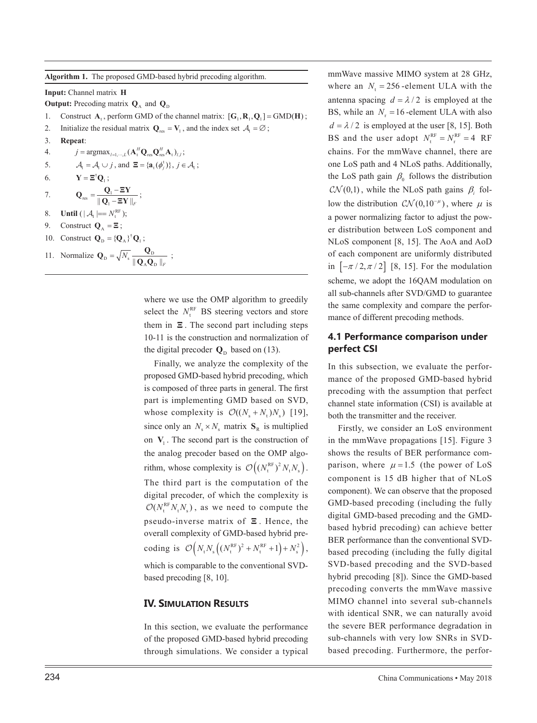**Algorithm 1.** The proposed GMD-based hybrid precoding algorithm.

**Input:** Channel matrix **H**

**Output:** Precoding matrix  $\mathbf{Q}_A$  and  $\mathbf{Q}_D$ 

- 1. Construct  $A_t$ , perform GMD of the channel matrix:  $[G_1, R_1, Q_1] = \text{GMD}(H)$ ;
- 2. Initialize the residual matrix  $Q_{res} = V_1$ , and the index set  $A_i = \emptyset$ ;
- 3. **Repeat**:
- 4.  $j = \text{argmax}_{l=1,\cdots,L} (\mathbf{A}_t^H \mathbf{Q}_{\text{res}} \mathbf{Q}_{\text{res}}^H \mathbf{A}_t)_{l,l};$
- 5.  $\mathcal{A}_1 = \mathcal{A}_1 \cup j$ , and  $\mathbf{\Xi} = \{\mathbf{a}_1(\phi_i^t)\}, j \in \mathcal{A}_1$ ;

*F* ;

6. 
$$
\mathbf{Y} = \mathbf{\Xi}^{\dagger} \mathbf{Q}_1 ;
$$

7. 
$$
\mathbf{Q}_{\text{res}} = \frac{\mathbf{Q}_1 - \mathbf{\Xi}\mathbf{Y}}{\|\mathbf{Q}_1 - \mathbf{\Xi}\mathbf{Y}\|_F}
$$

$$
\|\mathbf{Q}_1 - \mathbf{Q}_1\|
$$

8. **Until**  $(|A_t| == N_t^{\text{RF}})$ ;

9. Construct 
$$
Q_A = \Xi
$$
;

10. Construct  $\mathbf{Q}_{\text{D}} = {\{\mathbf{Q}_{\text{A}}\}}^{\dagger} \mathbf{Q}_{1}$ ;

11. Normalize 
$$
\mathbf{Q}_{\text{D}} = \sqrt{N_s} \frac{\mathbf{Q}_{\text{D}}}{\|\mathbf{Q}_{\text{A}}\mathbf{Q}_{\text{D}}\|_F}
$$
;

where we use the OMP algorithm to greedily select the  $N_t^{\text{RF}}$  BS steering vectors and store them in **Ξ** . The second part including steps 10-11 is the construction and normalization of the digital precoder  $\mathbf{Q}_D$  based on (13).

Finally, we analyze the complexity of the proposed GMD-based hybrid precoding, which is composed of three parts in general. The first part is implementing GMD based on SVD, whose complexity is  $\mathcal{O}((N_s + N_t)N_s)$  [19], since only an  $N_s \times N_s$  matrix  $S_R$  is multiplied on  $V_1$ . The second part is the construction of the analog precoder based on the OMP algorithm, whose complexity is  $\mathcal{O}\left((N_t^{\text{RF}})^2 N_t N_s\right)$ . The third part is the computation of the digital precoder, of which the complexity is  $O(N_t^{RF} N_t N_s)$ , as we need to compute the pseudo-inverse matrix of **Ξ** . Hence, the overall complexity of GMD-based hybrid precoding is  $\mathcal{O}\left( N_{\text{t}}N_{\text{s}}\left( (N_{\text{t}}^{\text{RF}})^{2} + N_{\text{t}}^{\text{RF}} + 1 \right) + N_{\text{s}}^{2} \right)$ , which is comparable to the conventional SVD-

#### **IV. SIMULATION RESULTS**

based precoding [8, 10].

In this section, we evaluate the performance of the proposed GMD-based hybrid precoding through simulations. We consider a typical

mmWave massive MIMO system at 28 GHz, where an  $N_t = 256$ -element ULA with the antenna spacing  $d = \lambda/2$  is employed at the BS, while an  $N_r = 16$ -element ULA with also  $d = \lambda / 2$  is employed at the user [8, 15]. Both BS and the user adopt  $N_t^{\text{RF}} = N_r^{\text{RF}} = 4 \text{ RF}$ chains. For the mmWave channel, there are one LoS path and 4 NLoS paths. Additionally, the LoS path gain  $\beta_0$  follows the distribution  $\mathcal{CN}(0,1)$ , while the NLoS path gains  $\beta_i$  follow the distribution  $\mathcal{CN}(0,10^{-\mu})$ , where  $\mu$  is a power normalizing factor to adjust the power distribution between LoS component and NLoS component [8, 15]. The AoA and AoD of each component are uniformly distributed in  $[-\pi/2, \pi/2]$  [8, 15]. For the modulation scheme, we adopt the 16QAM modulation on all sub-channels after SVD/GMD to guarantee the same complexity and compare the performance of different precoding methods.

## **4.1 Performance comparison under perfect CSI**

In this subsection, we evaluate the performance of the proposed GMD-based hybrid precoding with the assumption that perfect channel state information (CSI) is available at both the transmitter and the receiver.

Firstly, we consider an LoS environment in the mmWave propagations [15]. Figure 3 shows the results of BER performance comparison, where  $\mu = 1.5$  (the power of LoS component is 15 dB higher that of NLoS component). We can observe that the proposed GMD-based precoding (including the fully digital GMD-based precoding and the GMDbased hybrid precoding) can achieve better BER performance than the conventional SVDbased precoding (including the fully digital SVD-based precoding and the SVD-based hybrid precoding [8]). Since the GMD-based precoding converts the mmWave massive MIMO channel into several sub-channels with identical SNR, we can naturally avoid the severe BER performance degradation in sub-channels with very low SNRs in SVDbased precoding. Furthermore, the perfor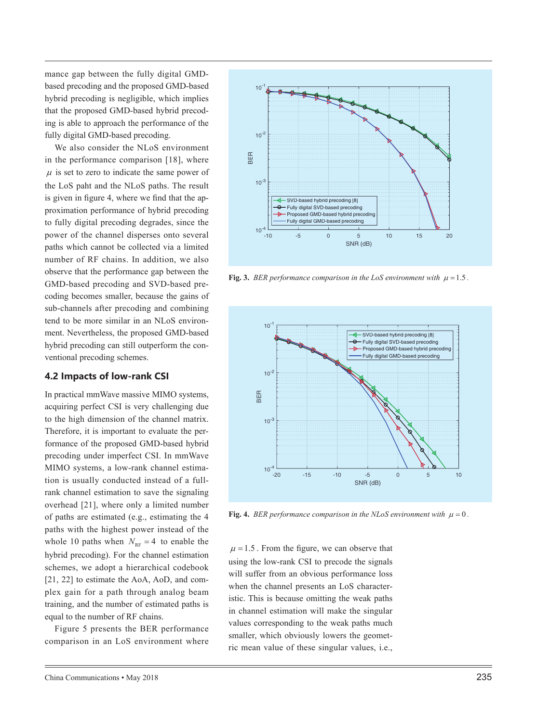mance gap between the fully digital GMDbased precoding and the proposed GMD-based hybrid precoding is negligible, which implies that the proposed GMD-based hybrid precoding is able to approach the performance of the fully digital GMD-based precoding.

We also consider the NLoS environment in the performance comparison [18], where  $\mu$  is set to zero to indicate the same power of the LoS paht and the NLoS paths. The result is given in figure 4, where we find that the approximation performance of hybrid precoding to fully digital precoding degrades, since the power of the channel disperses onto several paths which cannot be collected via a limited number of RF chains. In addition, we also observe that the performance gap between the GMD-based precoding and SVD-based precoding becomes smaller, because the gains of sub-channels after precoding and combining tend to be more similar in an NLoS environment. Nevertheless, the proposed GMD-based hybrid precoding can still outperform the conventional precoding schemes.

## **4.2 Impacts of low-rank CSI**

In practical mmWave massive MIMO systems, acquiring perfect CSI is very challenging due to the high dimension of the channel matrix. Therefore, it is important to evaluate the performance of the proposed GMD-based hybrid precoding under imperfect CSI. In mmWave MIMO systems, a low-rank channel estimation is usually conducted instead of a fullrank channel estimation to save the signaling overhead [21], where only a limited number of paths are estimated (e.g., estimating the 4 paths with the highest power instead of the whole 10 paths when  $N_{RF} = 4$  to enable the hybrid precoding). For the channel estimation schemes, we adopt a hierarchical codebook [21, 22] to estimate the AoA, AoD, and complex gain for a path through analog beam training, and the number of estimated paths is equal to the number of RF chains.

Figure 5 presents the BER performance comparison in an LoS environment where



**Fig. 3.** *BER performance comparison in the LoS environment with*  $\mu = 1.5$ .



**Fig. 4.** *BER performance comparison in the NLoS environment with*  $\mu = 0$ .

 $\mu = 1.5$ . From the figure, we can observe that using the low-rank CSI to precode the signals will suffer from an obvious performance loss when the channel presents an LoS characteristic. This is because omitting the weak paths in channel estimation will make the singular values corresponding to the weak paths much smaller, which obviously lowers the geometric mean value of these singular values, i.e.,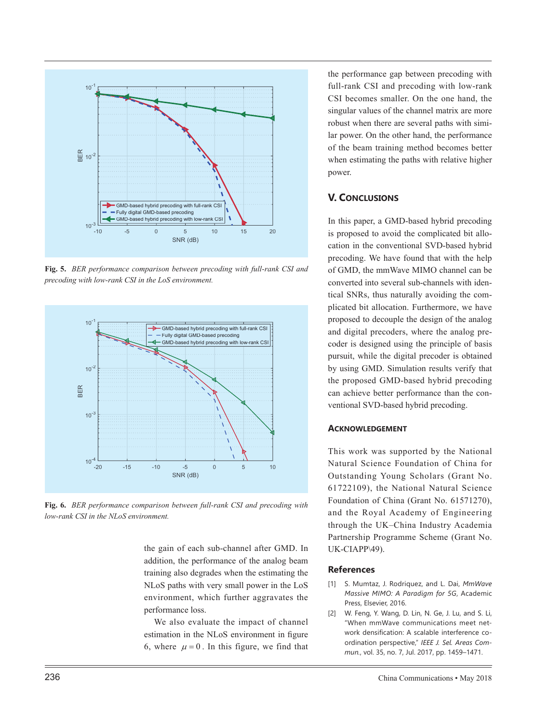

**Fig. 5.** *BER performance comparison between precoding with full-rank CSI and precoding with low-rank CSI in the LoS environment.*



**Fig. 6.** *BER performance comparison between full-rank CSI and precoding with low-rank CSI in the NLoS environment.*

the gain of each sub-channel after GMD. In addition, the performance of the analog beam training also degrades when the estimating the NLoS paths with very small power in the LoS environment, which further aggravates the performance loss.

We also evaluate the impact of channel estimation in the NLoS environment in figure 6, where  $\mu = 0$ . In this figure, we find that

the performance gap between precoding with full-rank CSI and precoding with low-rank CSI becomes smaller. On the one hand, the singular values of the channel matrix are more robust when there are several paths with similar power. On the other hand, the performance of the beam training method becomes better when estimating the paths with relative higher power.

# **V. CONCLUSIONS**

In this paper, a GMD-based hybrid precoding is proposed to avoid the complicated bit allocation in the conventional SVD-based hybrid precoding. We have found that with the help of GMD, the mmWave MIMO channel can be converted into several sub-channels with identical SNRs, thus naturally avoiding the complicated bit allocation. Furthermore, we have proposed to decouple the design of the analog and digital precoders, where the analog precoder is designed using the principle of basis pursuit, while the digital precoder is obtained by using GMD. Simulation results verify that the proposed GMD-based hybrid precoding can achieve better performance than the conventional SVD-based hybrid precoding.

## **ACKNOWLEDGEMENT**

This work was supported by the National Natural Science Foundation of China for Outstanding Young Scholars (Grant No. 61722109), the National Natural Science Foundation of China (Grant No. 61571270), and the Royal Academy of Engineering through the UK–China Industry Academia Partnership Programme Scheme (Grant No. UK-CIAPP\49).

#### **References**

- [1] S. Mumtaz, J. Rodriquez, and L. Dai, *MmWave Massive MIMO: A Paradigm for 5G*, Academic Press, Elsevier, 2016.
- [2] W. Feng, Y. Wang, D. Lin, N. Ge, J. Lu, and S. Li, "When mmWave communications meet network densification: A scalable interference coordination perspective," *IEEE J. Sel. Areas Commun.*, vol. 35, no. 7, Jul. 2017, pp. 1459–1471.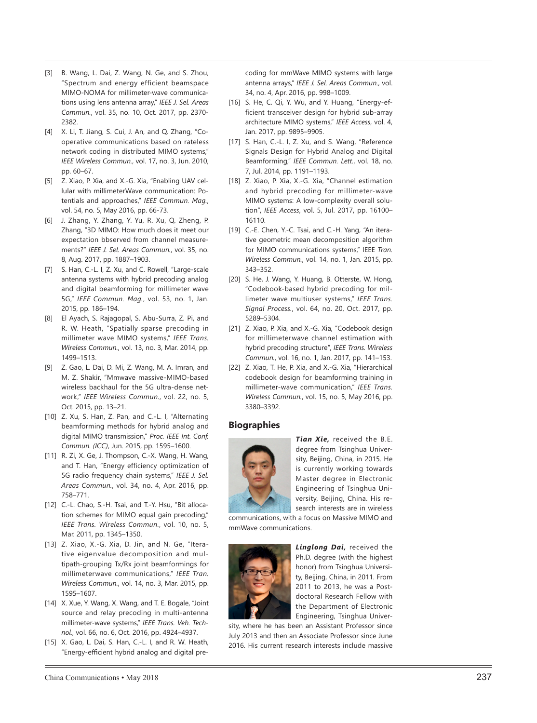- [3] B. Wang, L. Dai, Z. Wang, N. Ge, and S. Zhou, "Spectrum and energy efficient beamspace MIMO-NOMA for millimeter-wave communica tions using lens antenna array," *IEEE J. Sel. Areas Commun.*, vol. 35, no. 10, Oct. 2017, pp. 2370- 2382.
- [4] X. Li, T. Jiang, S. Cui, J. An, and Q. Zhang, "Co operative communications based on rateless network coding in distributed MIMO systems," *IEEE Wireless Commun.*, vol. 17, no. 3, Jun. 2010, pp. 60–67.
- [5] Z. Xiao, P. Xia, and X.-G. Xia, "Enabling UAV cel lular with millimeterWave communication: Po tentials and approaches," *IEEE Commun. Mag.*, vol. 54, no. 5, May 2016, pp. 66-73.
- [6] J. Zhang, Y. Zhang, Y. Yu, R. Xu, Q. Zheng, P. Zhang, "3D MIMO: How much does it meet our expectation bbserved from channel measure ments?" *IEEE J. Sel. Areas Commun.*, vol. 35, no. 8, Aug. 2017, pp. 1887–1903.
- [7] S. Han, C.-L. I, Z. Xu, and C. Rowell, "Large-scale antenna systems with hybrid precoding analog and digital beamforming for millimeter wave 5G," *IEEE Commun. Mag.*, vol. 53, no. 1, Jan. 2015, pp. 186–194.
- [8] El Ayach, S. Rajagopal, S. Abu-Surra, Z. Pi, and R. W. Heath, "Spatially sparse precoding in millimeter wave MIMO systems," *IEEE Trans. Wireless Commun.*, vol. 13, no. 3, Mar. 2014, pp. 1499–1513.
- [9] Z. Gao, L. Dai, D. Mi, Z. Wang, M. A. Imran, and M. Z. Shakir, "Mmwave massive-MIMO-based wireless backhaul for the 5G ultra-dense net work," *IEEE Wireless Commun.*, vol. 22, no. 5, Oct. 2015, pp. 13–21.
- [10] Z. Xu, S. Han, Z. Pan, and C.-L. I, "Alternating beamforming methods for hybrid analog and digital MIMO transmission," *Proc. IEEE Int. Conf. Commun. (ICC)*, Jun. 2015, pp. 1595–1600.
- [11] R. Zi, X. Ge, J. Thompson, C.-X. Wang, H. Wang, and T. Han, "Energy efficiency optimization of 5G radio frequency chain systems," *IEEE J. Sel. Areas Commun.*, vol. 34, no. 4, Apr. 2016, pp. 758–771.
- [12] C.-L. Chao, S.-H. Tsai, and T.-Y. Hsu, "Bit alloca tion schemes for MIMO equal gain precoding," *IEEE Trans. Wireless Commun.*, vol. 10, no. 5, Mar. 2011, pp. 1345–1350.
- [13] Z. Xiao, X.-G. Xia, D. Jin, and N. Ge, "Itera tive eigenvalue decomposition and mul tipath-grouping Tx/Rx joint beamformings for millimeterwave communications," *IEEE Tran. Wireless Commun.*, vol. 14, no. 3, Mar. 2015, pp. 1595–1607.
- [14] X. Xue, Y. Wang, X. Wang, and T. E. Bogale, "Joint source and relay precoding in multi-antenna millimeter-wave systems," *IEEE Trans. Veh. Tech nol.*, vol. 66, no. 6, Oct. 2016, pp. 4924–4937.
- [15] X. Gao, L. Dai, S. Han, C.-L. I, and R. W. Heath, "Energy-efficient hybrid analog and digital pre -

coding for mmWave MIMO systems with large antenna arrays," *IEEE J. Sel. Areas Commun.*, vol. 34, no. 4, Apr. 2016, pp. 998–1009.

- [16] S. He, C. Qi, Y. Wu, and Y. Huang, "Energy-ef ficient transceiver design for hybrid sub-array architecture MIMO systems," *IEEE Access*, vol. 4, Jan. 2017, pp. 9895–9905.
- [17] S. Han, C.-L. I, Z. Xu, and S. Wang, "Reference Signals Design for Hybrid Analog and Digital Beamforming," *IEEE Commun. Lett.*, vol. 18, no. 7, Jul. 2014, pp. 1191–1193.
- [18] Z. Xiao, P. Xia, X.-G. Xia, "Channel estimation and hybrid precoding for millimeter-wave MIMO systems: A low-complexity overall solu tion", *IEEE Access*, vol. 5, Jul. 2017, pp. 16100– 16110.
- [19] C.-E. Chen, Y.-C. Tsai, and C.-H. Yang, "An itera tive geometric mean decomposition algorithm for MIMO communications systems," IEEE *Tran. Wireless Commun.*, vol. 14, no. 1, Jan. 2015, pp. 343–352.
- [20] S. He, J. Wang, Y. Huang, B. Otterste, W. Hong, "Codebook-based hybrid precoding for mil limeter wave multiuser systems," *IEEE Trans. Signal Process.*, vol. 64, no. 20, Oct. 2017, pp. 5289–5304.
- [21] Z. Xiao, P. Xia, and X.-G. Xia, "Codebook design for millimeterwave channel estimation with hybrid precoding structure", *IEEE Trans. Wireless Commun.*, vol. 16, no. 1, Jan. 2017, pp. 141–153.
- [22] Z. Xiao, T. He, P. Xia, and X.-G. Xia, "Hierarchical codebook design for beamforming training in millimeter-wave communication," *IEEE Trans. Wireless Commun.*, vol. 15, no. 5, May 2016, pp. 3380–3392.

## **Biographies**



*Tian Xie,* received the B.E. degree from Tsinghua Univer sity, Beijing, China, in 2015. He is currently working towards Master degree in Electronic Engineering of Tsinghua Uni versity, Beijing, China. His re search interests are in wireless

communications, with a focus on Massive MIMO and mmWave communications.



*Linglong Dai,* received the Ph.D. degree (with the highest honor) from Tsinghua Universi ty, Beijing, China, in 2011. From 2011 to 2013, he was a Post doctoral Research Fellow with the Department of Electronic Engineering, Tsinghua Univer -

sity, where he has been an Assistant Professor since July 2013 and then an Associate Professor since June 2016. His current research interests include massive